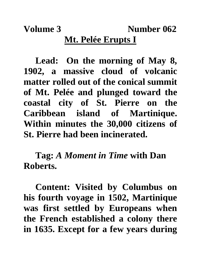**Volume 3** Number 062 **Mt. Pelée Erupts I**

**Lead: On the morning of May 8, 1902, a massive cloud of volcanic matter rolled out of the conical summit of Mt. Pelée and plunged toward the coastal city of St. Pierre on the Caribbean island of Martinique. Within minutes the 30,000 citizens of St. Pierre had been incinerated.**

**Tag:** *A Moment in Time* **with Dan Roberts.**

**Content: Visited by Columbus on his fourth voyage in 1502, Martinique was first settled by Europeans when the French established a colony there in 1635. Except for a few years during**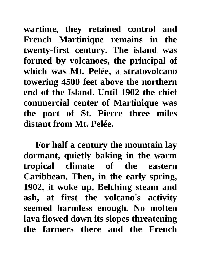**wartime, they retained control and French Martinique remains in the twenty-first century. The island was formed by volcanoes, the principal of which was Mt. Pelée, a stratovolcano towering 4500 feet above the northern end of the Island. Until 1902 the chief commercial center of Martinique was the port of St. Pierre three miles distant from Mt. Pelée.** 

**For half a century the mountain lay dormant, quietly baking in the warm tropical climate of the eastern Caribbean. Then, in the early spring, 1902, it woke up. Belching steam and ash, at first the volcano's activity seemed harmless enough. No molten lava flowed down its slopes threatening the farmers there and the French**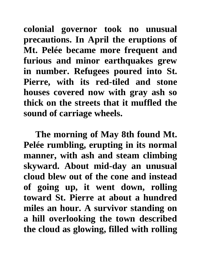**colonial governor took no unusual precautions. In April the eruptions of Mt. Pelée became more frequent and furious and minor earthquakes grew in number. Refugees poured into St. Pierre, with its red-tiled and stone houses covered now with gray ash so thick on the streets that it muffled the sound of carriage wheels.**

**The morning of May 8th found Mt. Pelée rumbling, erupting in its normal manner, with ash and steam climbing skyward. About mid-day an unusual cloud blew out of the cone and instead of going up, it went down, rolling toward St. Pierre at about a hundred miles an hour. A survivor standing on a hill overlooking the town described the cloud as glowing, filled with rolling**